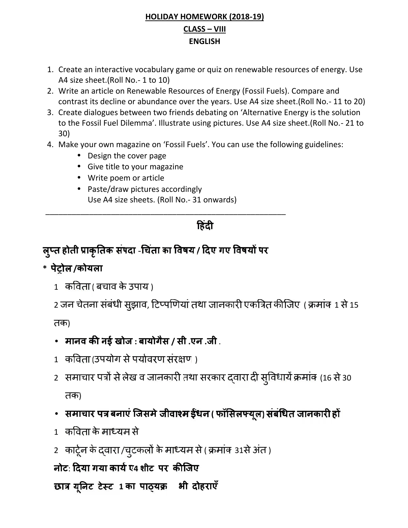## **HOLIDAY HOMEWORK (2018-19) CLASS – VIII ENGLISH**

- 1. Create an interactive vocabulary game or quiz on renewable resources of energy. Use A4 size sheet.(Roll No.- 1 to 10)
- 2. Write an article on Renewable Resources of Energy (Fossil Fuels). Compare and contrast its decline or abundance over the years. Use A4 size sheet.(Roll No.- 11 to 20)
- 3. Create dialogues between two friends debating on 'Alternative Energy is the solution to the Fossil Fuel Dilemma'. Illustrate using pictures. Use A4 size sheet.(Roll No.- 21 to 30)
- 4. Make your own magazine on 'Fossil Fuels'. You can use the following guidelines:
	- Design the cover page
	- Give title to your magazine
	- Write poem or article
	- Paste/draw pictures accordingly Use A4 size sheets. (Roll No.- 31 onwards)

हिंदी

\_\_\_\_\_\_\_\_\_\_\_\_\_\_\_\_\_\_\_\_\_\_\_\_\_\_\_\_\_\_\_\_\_\_\_\_\_\_\_\_\_\_\_\_\_\_\_\_\_\_\_\_\_\_\_

# **होती संपदा** - **का / गए पर**

# **\* /कोयला**

1 ( बचाव के उपाय )

2 जन चेतना संबंधी सुझाव, टिप्पणियां तथा जानकारी एकत्रित कीजिए ( क्रमांक 1 से 15 तक)

- **मानव नई खोज : बायोगैस / सी .एन .जी** .
- 1) कविता (उपयोग से पर्यावरण संरक्षण)
- 2) समाचार पत्रों से लेख व जानकारी तथा सरकार द्वारा दी सुविधायें क्रमांक (16 से 30 तक)
- समाचार पत्र बनाएं जिसमे जीवाश्म ईंधन ( फॉसिलफ्यूल) संबंधित जानकारी हों
- 1) कविता के माध्यम से
- 2 कार्टून के दवारा /चुटकलों के माध्यम से ( क्रमांक 31से अंत )

# **नोट**: **गया ए4 शीट पर**

**1 का भी दोहराएँ**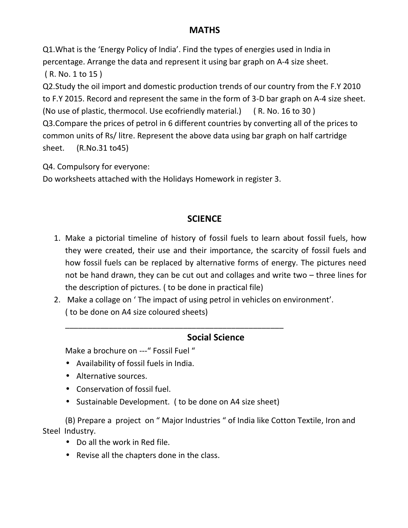## **MATHS**

Q1.What is the 'Energy Policy of India'. Find the types of energies used in India in percentage. Arrange the data and represent it using bar graph on A-4 size sheet. ( R. No. 1 to 15 ) Q2.Study the oil import and domestic production trends of our country from the F.Y 2010 to F.Y 2015. Record and represent the same in the form of 3-D bar graph on A-4 size sheet. (No use of plastic, thermocol. Use ecofriendly material.) ( R. No. 16 to 30 ) Q3.Compare the prices of petrol in 6 different countries by converting all of the prices to common units of Rs/ litre. Represent the above data using bar graph on half cartridge

sheet. (R.No.31 to45)

Q4. Compulsory for everyone:

Do worksheets attached with the Holidays Homework in register 3.

### **SCIENCE**

- 1. Make a pictorial timeline of history of fossil fuels to learn about fossil fuels, how they were created, their use and their importance, the scarcity of fossil fuels and how fossil fuels can be replaced by alternative forms of energy. The pictures need not be hand drawn, they can be cut out and collages and write two – three lines for the description of pictures. ( to be done in practical file)
- 2. Make a collage on ' The impact of using petrol in vehicles on environment'. ( to be done on A4 size coloured sheets)

\_\_\_\_\_\_\_\_\_\_\_\_\_\_\_\_\_\_\_\_\_\_\_\_\_\_\_\_\_\_\_\_\_\_\_\_\_\_\_\_\_\_\_\_\_\_\_\_\_\_

#### **Social Science**

Make a brochure on ---" Fossil Fuel "

- Availability of fossil fuels in India.
- Alternative sources.
- Conservation of fossil fuel.
- Sustainable Development. ( to be done on A4 size sheet)

(B) Prepare a project on " Major Industries " of India like Cotton Textile, Iron and Steel Industry.

- Do all the work in Red file.
- Revise all the chapters done in the class.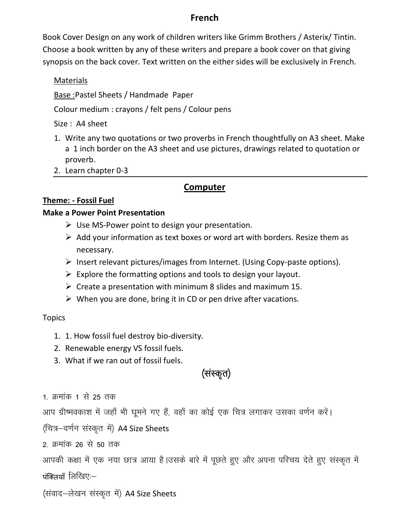#### **French**

Book Cover Design on any work of children writers like Grimm Brothers / Asterix/ Tintin. Choose a book written by any of these writers and prepare a book cover on that giving synopsis on the back cover. Text written on the either sides will be exclusively in French.

#### Materials

Base :Pastel Sheets / Handmade Paper

Colour medium : crayons / felt pens / Colour pens

Size : A4 sheet

- 1. Write any two quotations or two proverbs in French thoughtfully on A3 sheet. Make a 1 inch border on the A3 sheet and use pictures, drawings related to quotation or proverb.
- 2. Learn chapter 0-3

### **Computer**

#### **Theme: - Fossil Fuel**

#### **Make a Power Point Presentation**

- $\triangleright$  Use MS-Power point to design your presentation.
- $\triangleright$  Add your information as text boxes or word art with borders. Resize them as necessary.
- $\triangleright$  Insert relevant pictures/images from Internet. (Using Copy-paste options).
- $\triangleright$  Explore the formatting options and tools to design your layout.
- $\triangleright$  Create a presentation with minimum 8 slides and maximum 15.
- $\triangleright$  When you are done, bring it in CD or pen drive after vacations.

#### Topics

- 1. 1. How fossil fuel destroy bio-diversity. pics<br>3. 1. 1. How fossil fuel destroy bio-diversity.<br>3. What if we ran out of fossil fuels.<br>3. What if we ran out of fossil fuels.<br>कमांक 1 से 25 तक
- 2. Renewable energy VS fossil fuels.
- 

1. 1. How fossil fuel destroy bio-di<br>2. Renewable energy VS fossil fuel<br>3. What if we ran out of fossil fuel<br>1. क्रमांक 1 से 25 तक<br>आप ग्रीष्मवकाश में जहाँ भी घूमने गए हैं, व 2. Kenewable energy vs rossli ruels.<br>3. What if we ran out of fossil fuels.<br>(संस्कृत)<br>1. क्रमांक 1 से 25 तक<br>आप ग्रीष्मवकाश में जहाँ भी घूमने गए हैं, वहाँ का कोई एक चित्र लगाकर उसका वर्णन करें।<br>(चित्र–वर्णन संस्कृत में) A4 1. क्रमांक 1 से 25 तक<br>आप ग्रीष्मवकाश में जहाँ भी घूमने गए हैं, वहाँ का<br>(चित्र—वर्णन संस्कृत में) A4 Size Sheets<br>2. क्रमांक 26 से 50 तक

1. क्रमांक 1 से 25 तक<br>आप ग्रीष्मवकाश में जहाँ भी घूमने गए हैं, वह<br>(चित्र—वर्णन संस्कृत में) A4 Size Sheets<br>2. क्रमांक 26 से 50 तक<br>आपकी कक्षा में एक नया छात्र आया है।उसव 1. क्रमाक 1 स 25 तक<br>आप ग्रीष्मवकाश में जहाँ भी घूमने गए हैं, वहाँ का कोई एक चित्र लगाकर उसका वर्णन करें।<br>(चित्र–वर्णन संस्कृत में) A4 Size Sheets<br>2. क्रमांक 26 से 50 तक<br>आपकी कक्षा में एक नया छात्र आया है।उसके बारे में पूछ पंक्तियाँ लिखिए:— (1यत्र—पर्शरा संस्प्यूरा न) A4 Size Sheets<br>2. क्रमांक 26 से 50 तक<br>आपकी कक्षा में एक नया छात्र आया है।उसके बारे में<br>पंक्तियाँ लिखिए:—<br>(संवाद—लेखन संस्कृत में) A4 Size Sheets